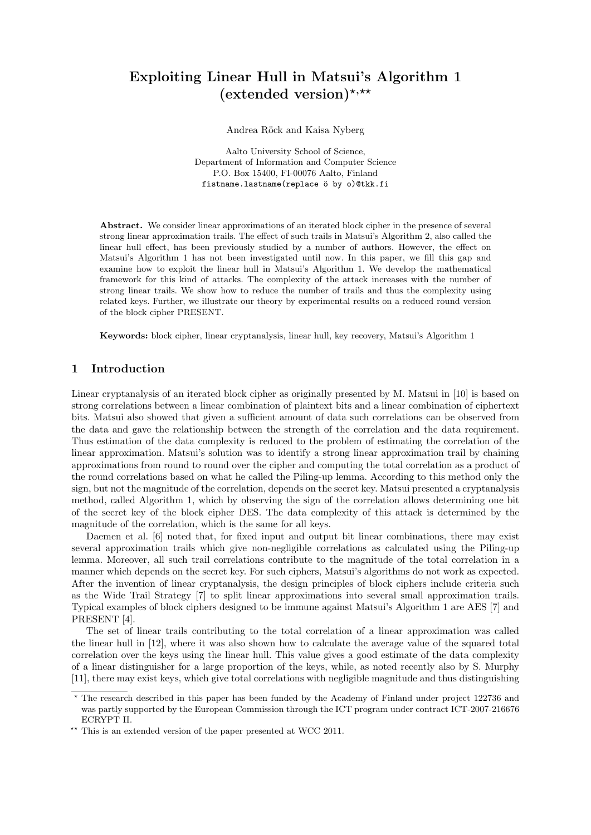# Exploiting Linear Hull in Matsui's Algorithm 1 (extended version)\*,\*\*

Andrea Röck and Kaisa Nyberg

Aalto University School of Science, Department of Information and Computer Science P.O. Box 15400, FI-00076 Aalto, Finland fistname.lastname(replace ö by o)@tkk.fi

Abstract. We consider linear approximations of an iterated block cipher in the presence of several strong linear approximation trails. The effect of such trails in Matsui's Algorithm 2, also called the linear hull effect, has been previously studied by a number of authors. However, the effect on Matsui's Algorithm 1 has not been investigated until now. In this paper, we fill this gap and examine how to exploit the linear hull in Matsui's Algorithm 1. We develop the mathematical framework for this kind of attacks. The complexity of the attack increases with the number of strong linear trails. We show how to reduce the number of trails and thus the complexity using related keys. Further, we illustrate our theory by experimental results on a reduced round version of the block cipher PRESENT.

Keywords: block cipher, linear cryptanalysis, linear hull, key recovery, Matsui's Algorithm 1

# 1 Introduction

Linear cryptanalysis of an iterated block cipher as originally presented by M. Matsui in [10] is based on strong correlations between a linear combination of plaintext bits and a linear combination of ciphertext bits. Matsui also showed that given a sufficient amount of data such correlations can be observed from the data and gave the relationship between the strength of the correlation and the data requirement. Thus estimation of the data complexity is reduced to the problem of estimating the correlation of the linear approximation. Matsui's solution was to identify a strong linear approximation trail by chaining approximations from round to round over the cipher and computing the total correlation as a product of the round correlations based on what he called the Piling-up lemma. According to this method only the sign, but not the magnitude of the correlation, depends on the secret key. Matsui presented a cryptanalysis method, called Algorithm 1, which by observing the sign of the correlation allows determining one bit of the secret key of the block cipher DES. The data complexity of this attack is determined by the magnitude of the correlation, which is the same for all keys.

Daemen et al. [6] noted that, for fixed input and output bit linear combinations, there may exist several approximation trails which give non-negligible correlations as calculated using the Piling-up lemma. Moreover, all such trail correlations contribute to the magnitude of the total correlation in a manner which depends on the secret key. For such ciphers, Matsui's algorithms do not work as expected. After the invention of linear cryptanalysis, the design principles of block ciphers include criteria such as the Wide Trail Strategy [7] to split linear approximations into several small approximation trails. Typical examples of block ciphers designed to be immune against Matsui's Algorithm 1 are AES [7] and PRESENT [4].

The set of linear trails contributing to the total correlation of a linear approximation was called the linear hull in [12], where it was also shown how to calculate the average value of the squared total correlation over the keys using the linear hull. This value gives a good estimate of the data complexity of a linear distinguisher for a large proportion of the keys, while, as noted recently also by S. Murphy [11], there may exist keys, which give total correlations with negligible magnitude and thus distinguishing

<sup>?</sup> The research described in this paper has been funded by the Academy of Finland under project 122736 and was partly supported by the European Commission through the ICT program under contract ICT-2007-216676 ECRYPT II.

<sup>\*\*</sup> This is an extended version of the paper presented at WCC 2011.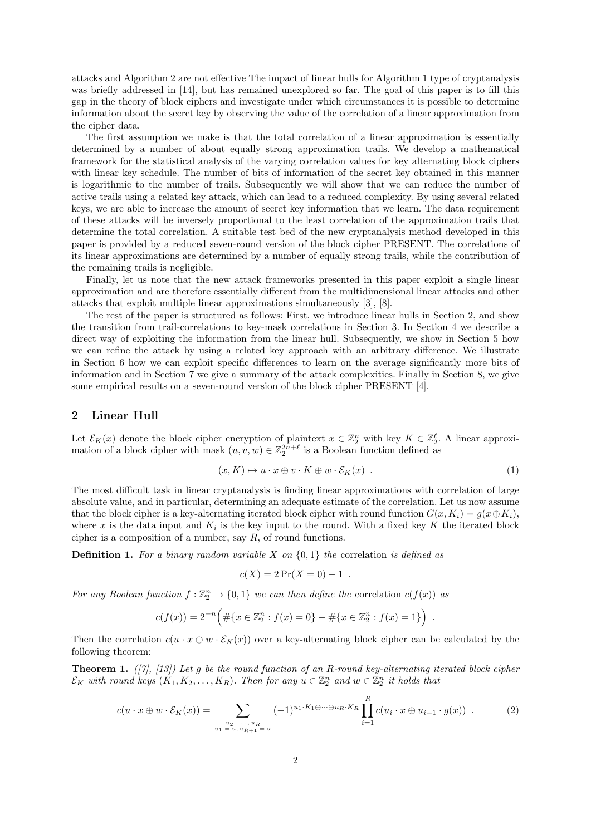attacks and Algorithm 2 are not effective The impact of linear hulls for Algorithm 1 type of cryptanalysis was briefly addressed in [14], but has remained unexplored so far. The goal of this paper is to fill this gap in the theory of block ciphers and investigate under which circumstances it is possible to determine information about the secret key by observing the value of the correlation of a linear approximation from the cipher data.

The first assumption we make is that the total correlation of a linear approximation is essentially determined by a number of about equally strong approximation trails. We develop a mathematical framework for the statistical analysis of the varying correlation values for key alternating block ciphers with linear key schedule. The number of bits of information of the secret key obtained in this manner is logarithmic to the number of trails. Subsequently we will show that we can reduce the number of active trails using a related key attack, which can lead to a reduced complexity. By using several related keys, we are able to increase the amount of secret key information that we learn. The data requirement of these attacks will be inversely proportional to the least correlation of the approximation trails that determine the total correlation. A suitable test bed of the new cryptanalysis method developed in this paper is provided by a reduced seven-round version of the block cipher PRESENT. The correlations of its linear approximations are determined by a number of equally strong trails, while the contribution of the remaining trails is negligible.

Finally, let us note that the new attack frameworks presented in this paper exploit a single linear approximation and are therefore essentially different from the multidimensional linear attacks and other attacks that exploit multiple linear approximations simultaneously [3], [8].

The rest of the paper is structured as follows: First, we introduce linear hulls in Section 2, and show the transition from trail-correlations to key-mask correlations in Section 3. In Section 4 we describe a direct way of exploiting the information from the linear hull. Subsequently, we show in Section 5 how we can refine the attack by using a related key approach with an arbitrary difference. We illustrate in Section 6 how we can exploit specific differences to learn on the average significantly more bits of information and in Section 7 we give a summary of the attack complexities. Finally in Section 8, we give some empirical results on a seven-round version of the block cipher PRESENT [4].

# 2 Linear Hull

Let  $\mathcal{E}_K(x)$  denote the block cipher encryption of plaintext  $x \in \mathbb{Z}_2^n$  with key  $K \in \mathbb{Z}_2^{\ell}$ . A linear approximation of a block cipher with mask  $(u, v, w) \in \mathbb{Z}_2^{2n+\ell}$  is a Boolean function defined as

$$
(x, K) \mapsto u \cdot x \oplus v \cdot K \oplus w \cdot \mathcal{E}_K(x) . \tag{1}
$$

The most difficult task in linear cryptanalysis is finding linear approximations with correlation of large absolute value, and in particular, determining an adequate estimate of the correlation. Let us now assume that the block cipher is a key-alternating iterated block cipher with round function  $G(x, K_i) = g(x \oplus K_i)$ , where x is the data input and  $K_i$  is the key input to the round. With a fixed key K the iterated block cipher is a composition of a number, say  $R$ , of round functions.

**Definition 1.** For a binary random variable X on  $\{0, 1\}$  the correlation is defined as

$$
c(X) = 2\Pr(X = 0) - 1.
$$

For any Boolean function  $f : \mathbb{Z}_2^n \to \{0,1\}$  we can then define the correlation  $c(f(x))$  as

$$
c(f(x)) = 2^{-n} \Big( \# \{ x \in \mathbb{Z}_2^n : f(x) = 0 \} - \# \{ x \in \mathbb{Z}_2^n : f(x) = 1 \} \Big) .
$$

Then the correlation  $c(u \cdot x \oplus w \cdot \mathcal{E}_K(x))$  over a key-alternating block cipher can be calculated by the following theorem:

**Theorem 1.** ([7], [13]) Let g be the round function of an R-round key-alternating iterated block cipher  $\mathcal{E}_K$  with round keys  $(K_1, K_2, \ldots, K_R)$ . Then for any  $u \in \mathbb{Z}_2^n$  and  $w \in \mathbb{Z}_2^n$  it holds that

$$
c(u \cdot x \oplus w \cdot \mathcal{E}_K(x)) = \sum_{\substack{u_2, \ldots, u_R \\ u_1 = u, u_R + 1 = w}} (-1)^{u_1 \cdot K_1 \oplus \cdots \oplus u_R \cdot K_R} \prod_{i=1}^R c(u_i \cdot x \oplus u_{i+1} \cdot g(x)) \quad . \tag{2}
$$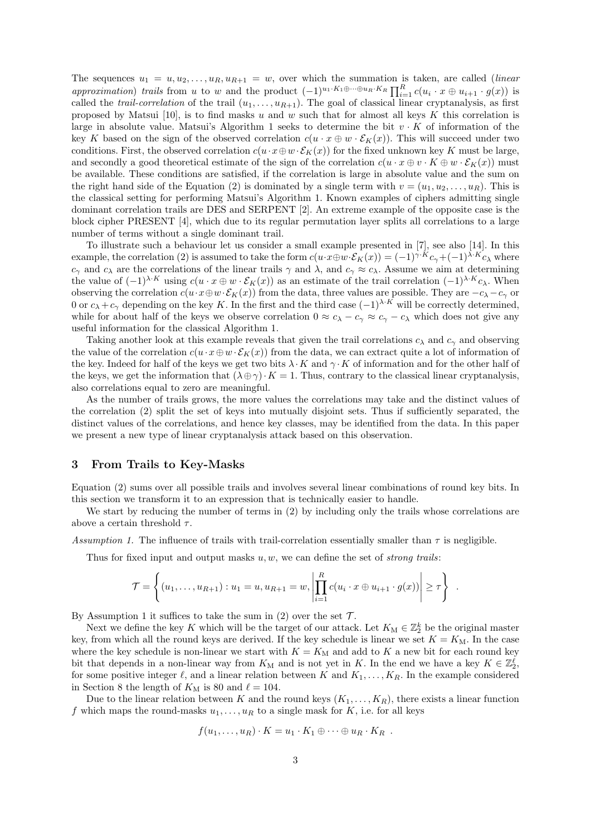The sequences  $u_1 = u, u_2, \ldots, u_R, u_{R+1} = w$ , over which the summation is taken, are called *(linear*) approximation) trails from u to w and the product  $(-1)^{u_1 \cdot K_1 \oplus \cdots \oplus u_R \cdot K_R} \prod_{i=1}^R c(u_i \cdot x \oplus u_{i+1} \cdot g(x))$  is called the *trail-correlation* of the trail  $(u_1, \ldots, u_{R+1})$ . The goal of classical linear cryptanalysis, as first proposed by Matsui [10], is to find masks u and w such that for almost all keys K this correlation is large in absolute value. Matsui's Algorithm 1 seeks to determine the bit  $v \cdot K$  of information of the key K based on the sign of the observed correlation  $c(u \cdot x \oplus w \cdot \mathcal{E}_K(x))$ . This will succeed under two conditions. First, the observed correlation  $c(u \cdot x \oplus w \cdot \mathcal{E}_K(x))$  for the fixed unknown key K must be large, and secondly a good theoretical estimate of the sign of the correlation  $c(u \cdot x \oplus v \cdot K \oplus w \cdot \mathcal{E}_K(x))$  must be available. These conditions are satisfied, if the correlation is large in absolute value and the sum on the right hand side of the Equation (2) is dominated by a single term with  $v = (u_1, u_2, \ldots, u_R)$ . This is the classical setting for performing Matsui's Algorithm 1. Known examples of ciphers admitting single dominant correlation trails are DES and SERPENT [2]. An extreme example of the opposite case is the block cipher PRESENT [4], which due to its regular permutation layer splits all correlations to a large number of terms without a single dominant trail.

To illustrate such a behaviour let us consider a small example presented in [7], see also [14]. In this example, the correlation (2) is assumed to take the form  $c(u \cdot x \oplus w \cdot \mathcal{E}_K(x)) = (-1)^{\gamma \cdot K} c_{\gamma} + (-1)^{\lambda \cdot K} c_{\lambda}$  where  $c_{\gamma}$  and  $c_{\lambda}$  are the correlations of the linear trails  $\gamma$  and  $\lambda$ , and  $c_{\gamma} \approx c_{\lambda}$ . Assume we aim at determining the value of  $(-1)^{\lambda \cdot K}$  using  $c(u \cdot x \oplus w \cdot \mathcal{E}_K(x))$  as an estimate of the trail correlation  $(-1)^{\lambda \cdot K}c_{\lambda}$ . When observing the correlation  $c(u \cdot x \oplus w \cdot \mathcal{E}_K(x))$  from the data, three values are possible. They are  $-c_\lambda-c_\gamma$  or 0 or  $c_{\lambda} + c_{\gamma}$  depending on the key K. In the first and the third case  $(-1)^{\lambda \cdot K}$  will be correctly determined, while for about half of the keys we observe correlation  $0 \approx c_{\lambda} - c_{\gamma} \approx c_{\gamma} - c_{\lambda}$  which does not give any useful information for the classical Algorithm 1.

Taking another look at this example reveals that given the trail correlations  $c_{\lambda}$  and  $c_{\gamma}$  and observing the value of the correlation  $c(u \cdot x \oplus w \cdot \mathcal{E}_K(x))$  from the data, we can extract quite a lot of information of the key. Indeed for half of the keys we get two bits  $\lambda \cdot K$  and  $\gamma \cdot K$  of information and for the other half of the keys, we get the information that  $(\lambda \oplus \gamma) \cdot K = 1$ . Thus, contrary to the classical linear cryptanalysis, also correlations equal to zero are meaningful.

As the number of trails grows, the more values the correlations may take and the distinct values of the correlation (2) split the set of keys into mutually disjoint sets. Thus if sufficiently separated, the distinct values of the correlations, and hence key classes, may be identified from the data. In this paper we present a new type of linear cryptanalysis attack based on this observation.

# 3 From Trails to Key-Masks

Equation (2) sums over all possible trails and involves several linear combinations of round key bits. In this section we transform it to an expression that is technically easier to handle.

We start by reducing the number of terms in (2) by including only the trails whose correlations are above a certain threshold  $\tau$ .

Assumption 1. The influence of trails with trail-correlation essentially smaller than  $\tau$  is negligible.

Thus for fixed input and output masks  $u, w$ , we can define the set of *strong trails*:

$$
\mathcal{T} = \left\{ (u_1, \ldots, u_{R+1}) : u_1 = u, u_{R+1} = w, \left| \prod_{i=1}^R c(u_i \cdot x \oplus u_{i+1} \cdot g(x)) \right| \geq \tau \right\} .
$$

By Assumption 1 it suffices to take the sum in (2) over the set  $\mathcal{T}$ .

Next we define the key K which will be the target of our attack. Let  $K_{\mathbf{M}} \in \mathbb{Z}_2^k$  be the original master key, from which all the round keys are derived. If the key schedule is linear we set  $K = K<sub>M</sub>$ . In the case where the key schedule is non-linear we start with  $K = K_M$  and add to K a new bit for each round key bit that depends in a non-linear way from  $K_M$  and is not yet in K. In the end we have a key  $K \in \mathbb{Z}_2^{\ell}$ , for some positive integer  $\ell$ , and a linear relation between K and  $K_1, \ldots, K_R$ . In the example considered in Section 8 the length of  $K_M$  is 80 and  $\ell = 104$ .

Due to the linear relation between K and the round keys  $(K_1, \ldots, K_R)$ , there exists a linear function f which maps the round-masks  $u_1, \ldots, u_R$  to a single mask for K, i.e. for all keys

$$
f(u_1,\ldots,u_R)\cdot K=u_1\cdot K_1\oplus\cdots\oplus u_R\cdot K_R.
$$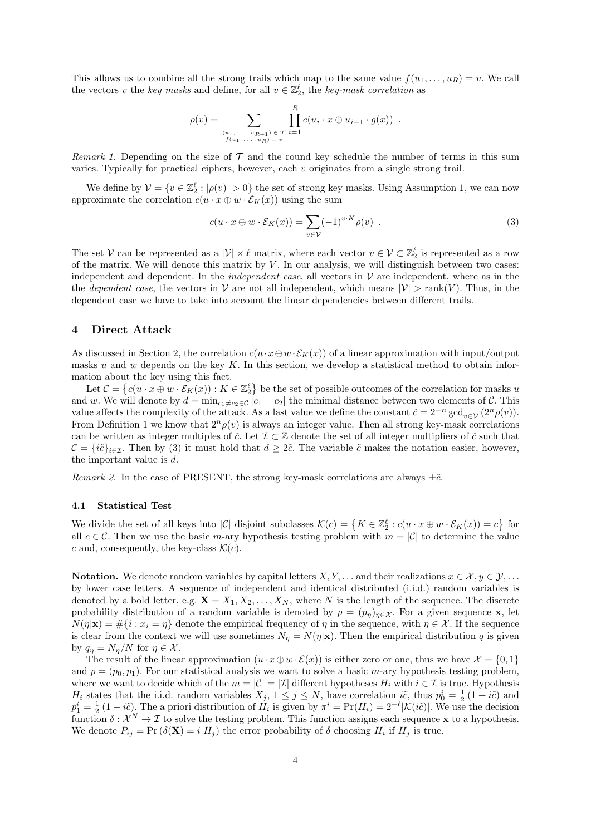This allows us to combine all the strong trails which map to the same value  $f(u_1, \ldots, u_R) = v$ . We call the vectors v the key masks and define, for all  $v \in \mathbb{Z}_2^{\ell}$ , the key-mask correlation as

$$
\rho(v) = \sum_{\substack{(u_1, \ldots, u_{R+1}) \in \mathcal{T} \\ f(u_1, \ldots, u_R) = v}} \prod_{i=1}^R c(u_i \cdot x \oplus u_{i+1} \cdot g(x)) \enspace .
$$

Remark 1. Depending on the size of  $\mathcal T$  and the round key schedule the number of terms in this sum varies. Typically for practical ciphers, however, each  $v$  originates from a single strong trail.

We define by  $\mathcal{V} = \{v \in \mathbb{Z}_2^{\ell} : |\rho(v)| > 0\}$  the set of strong key masks. Using Assumption 1, we can now approximate the correlation  $c(u \cdot x \oplus w \cdot \mathcal{E}_K(x))$  using the sum

$$
c(u \cdot x \oplus w \cdot \mathcal{E}_K(x)) = \sum_{v \in \mathcal{V}} (-1)^{v \cdot K} \rho(v) . \tag{3}
$$

The set V can be represented as a  $|\mathcal{V}| \times \ell$  matrix, where each vector  $v \in \mathcal{V} \subset \mathbb{Z}_2^{\ell}$  is represented as a row of the matrix. We will denote this matrix by  $V$ . In our analysis, we will distinguish between two cases: independent and dependent. In the *independent case*, all vectors in  $V$  are independent, where as in the the *dependent case*, the vectors in  $V$  are not all independent, which means  $|V| > \text{rank}(V)$ . Thus, in the dependent case we have to take into account the linear dependencies between different trails.

### 4 Direct Attack

As discussed in Section 2, the correlation  $c(u \cdot x \oplus w \cdot \mathcal{E}_K(x))$  of a linear approximation with input/output masks u and w depends on the key  $K$ . In this section, we develop a statistical method to obtain information about the key using this fact.

Let  $\mathcal{C} = \{c(u \cdot x \oplus w \cdot \mathcal{E}_K(x)) : K \in \mathbb{Z}_2^{\ell}\}\$  be the set of possible outcomes of the correlation for masks u and w. We will denote by  $d = \min_{c_1 \neq c_2 \in \mathcal{C}} |c_1 - c_2|$  the minimal distance between two elements of C. This value affects the complexity of the attack. As a last value we define the constant  $\tilde{c} = 2^{-n} \gcd_{v \in \mathcal{V}} (2^n \rho(v)).$ From Definition 1 we know that  $2^n \rho(v)$  is always an integer value. Then all strong key-mask correlations can be written as integer multiples of  $\tilde{c}$ . Let  $\mathcal{I} \subset \mathbb{Z}$  denote the set of all integer multipliers of  $\tilde{c}$  such that  $C = \{i\tilde{c}\}_{i\in\mathcal{I}}$ . Then by (3) it must hold that  $d \geq 2\tilde{c}$ . The variable  $\tilde{c}$  makes the notation easier, however, the important value is d.

Remark 2. In the case of PRESENT, the strong key-mask correlations are always  $\pm \tilde{c}$ .

#### 4.1 Statistical Test

We divide the set of all keys into  $|\mathcal{C}|$  disjoint subclasses  $\mathcal{K}(c) = \{K \in \mathbb{Z}_2^\ell : c(u \cdot x \oplus w \cdot \mathcal{E}_K(x)) = c\}$  for all  $c \in \mathcal{C}$ . Then we use the basic m-ary hypothesis testing problem with  $m = |\mathcal{C}|$  to determine the value c and, consequently, the key-class  $\mathcal{K}(c)$ .

Notation. We denote random variables by capital letters  $X, Y, \ldots$  and their realizations  $x \in \mathcal{X}, y \in \mathcal{Y}, \ldots$ by lower case letters. A sequence of independent and identical distributed (i.i.d.) random variables is denoted by a bold letter, e.g.  $\mathbf{X} = X_1, X_2, \ldots, X_N$ , where N is the length of the sequence. The discrete probability distribution of a random variable is denoted by  $p = (p_{\eta})_{\eta \in \mathcal{X}}$ . For a given sequence **x**, let  $N(\eta|\mathbf{x}) = #\{i : x_i = \eta\}$  denote the empirical frequency of  $\eta$  in the sequence, with  $\eta \in \mathcal{X}$ . If the sequence is clear from the context we will use sometimes  $N_{\eta} = N(\eta|\mathbf{x})$ . Then the empirical distribution q is given by  $q_n = N_n/N$  for  $\eta \in \mathcal{X}$ .

The result of the linear approximation  $(u \cdot x \oplus w \cdot \mathcal{E}(x))$  is either zero or one, thus we have  $\mathcal{X} = \{0, 1\}$ and  $p = (p_0, p_1)$ . For our statistical analysis we want to solve a basic m-ary hypothesis testing problem, where we want to decide which of the  $m = |\mathcal{C}| = |\mathcal{I}|$  different hypotheses  $H_i$  with  $i \in \mathcal{I}$  is true. Hypothesis  $H_i$  states that the i.i.d. random variables  $X_j$ ,  $1 \leq j \leq N$ , have correlation  $i\tilde{c}$ , thus  $p_0^i = \frac{1}{2}(1 + i\tilde{c})$  and  $p_1^i = \frac{1}{2}(1 - i\tilde{c})$ . The a priori distribution of  $H_i$  is given by  $\pi^i = \Pr(H_i) = 2^{-\ell}|\mathcal{K}(i\tilde{c})|$ . We use the decision function  $\delta: \mathcal{X}^N \to \mathcal{I}$  to solve the testing problem. This function assigns each sequence **x** to a hypothesis. We denote  $P_{ij} = \Pr(\delta(\mathbf{X}) = i | H_j)$  the error probability of  $\delta$  choosing  $H_i$  if  $H_j$  is true.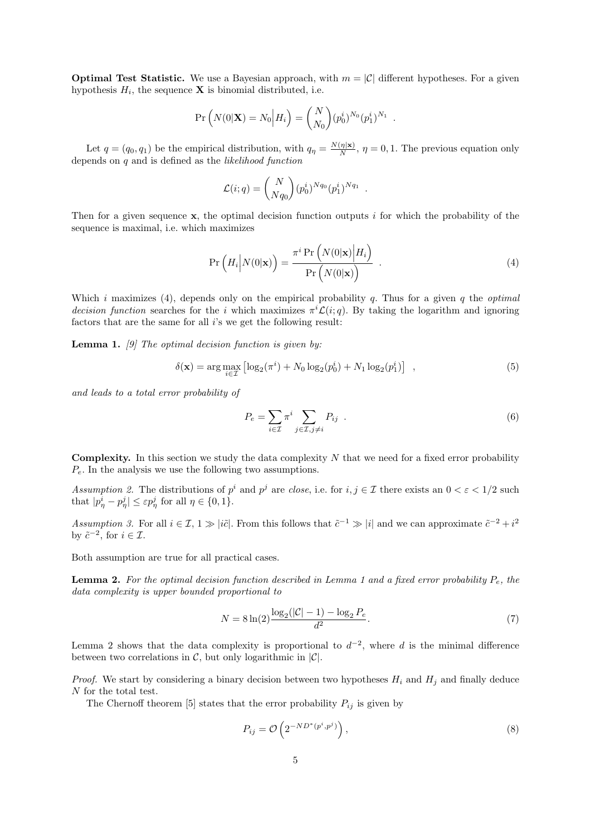**Optimal Test Statistic.** We use a Bayesian approach, with  $m = |\mathcal{C}|$  different hypotheses. For a given hypothesis  $H_i$ , the sequence **X** is binomial distributed, i.e.

$$
\Pr\left(N(0|\mathbf{X})=N_0\Big|H_i\right) = \binom{N}{N_0} (p_0^i)^{N_0} (p_1^i)^{N_1} .
$$

Let  $q = (q_0, q_1)$  be the empirical distribution, with  $q_\eta = \frac{N(\eta|\mathbf{x})}{N}$  $\frac{(\eta|\mathbf{x})}{N}$ ,  $\eta = 0, 1$ . The previous equation only depends on  $q$  and is defined as the *likelihood function* 

$$
\mathcal{L}(i;q) = {N \choose Nq_0} (p_0^i)^{Nq_0} (p_1^i)^{Nq_1} .
$$

Then for a given sequence  $x$ , the optimal decision function outputs i for which the probability of the sequence is maximal, i.e. which maximizes

$$
\Pr\left(H_i\middle|N(0|\mathbf{x})\right) = \frac{\pi^i \Pr\left(N(0|\mathbf{x})\middle|H_i\right)}{\Pr\left(N(0|\mathbf{x})\right)}\tag{4}
$$

Which i maximizes (4), depends only on the empirical probability q. Thus for a given q the *optimal* decision function searches for the i which maximizes  $\pi^{i}\mathcal{L}(i;q)$ . By taking the logarithm and ignoring factors that are the same for all *i*'s we get the following result:

**Lemma 1.** [9] The optimal decision function is given by:

$$
\delta(\mathbf{x}) = \arg \max_{i \in \mathcal{I}} \left[ \log_2(\pi^i) + N_0 \log_2(p_0^i) + N_1 \log_2(p_1^i) \right] , \qquad (5)
$$

and leads to a total error probability of

$$
P_e = \sum_{i \in \mathcal{I}} \pi^i \sum_{j \in \mathcal{I}, j \neq i} P_{ij} \quad . \tag{6}
$$

**Complexity.** In this section we study the data complexity  $N$  that we need for a fixed error probability  $P_e$ . In the analysis we use the following two assumptions.

Assumption 2. The distributions of  $p^i$  and  $p^j$  are close, i.e. for  $i, j \in \mathcal{I}$  there exists an  $0 < \varepsilon < 1/2$  such that  $|p_{\eta}^i - p_{\eta}^j| \leq \varepsilon p_{\eta}^j$  for all  $\eta \in \{0, 1\}.$ 

Assumption 3. For all  $i \in \mathcal{I}$ ,  $1 \gg |i\tilde{c}|$ . From this follows that  $\tilde{c}^{-1} \gg |i|$  and we can approximate  $\tilde{c}^{-2} + i^2$ by  $\tilde{c}^{-2}$ , for  $i \in \mathcal{I}$ .

Both assumption are true for all practical cases.

**Lemma 2.** For the optimal decision function described in Lemma 1 and a fixed error probability  $P_e$ , the data complexity is upper bounded proportional to

$$
N = 8\ln(2)\frac{\log_2(|\mathcal{C}| - 1) - \log_2 P_e}{d^2}.\tag{7}
$$

Lemma 2 shows that the data complexity is proportional to  $d^{-2}$ , where d is the minimal difference between two correlations in  $\mathcal{C}$ , but only logarithmic in  $|\mathcal{C}|$ .

*Proof.* We start by considering a binary decision between two hypotheses  $H_i$  and  $H_j$  and finally deduce N for the total test.

The Chernoff theorem [5] states that the error probability  $P_{ij}$  is given by

$$
P_{ij} = \mathcal{O}\left(2^{-ND^*(p^i, p^j)}\right),\tag{8}
$$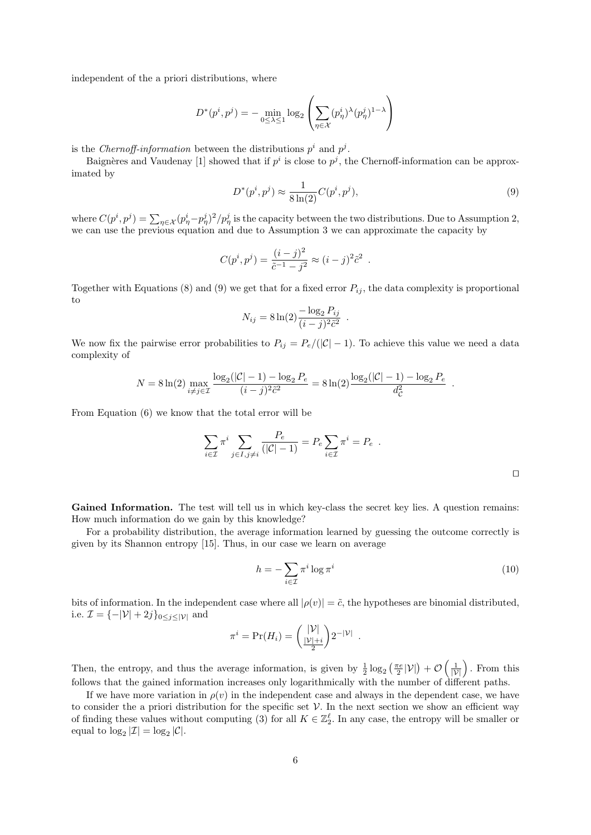independent of the a priori distributions, where

$$
D^*(p^i, p^j) = - \min_{0 \le \lambda \le 1} \log_2 \left( \sum_{\eta \in \mathcal{X}} (p^i_{\eta})^{\lambda} (p^j_{\eta})^{1-\lambda} \right)
$$

is the Chernoff-information between the distributions  $p^i$  and  $p^j$ .

Baignères and Vaudenay [1] showed that if  $p^i$  is close to  $p^j$ , the Chernoff-information can be approximated by

$$
D^*(p^i, p^j) \approx \frac{1}{8\ln(2)} C(p^i, p^j),\tag{9}
$$

where  $C(p^i, p^j) = \sum_{\eta \in \mathcal{X}} (p^i_{\eta} - p^j_{\eta})^2 / p^j_{\eta}$  is the capacity between the two distributions. Due to Assumption 2, we can use the previous equation and due to Assumption 3 we can approximate the capacity by

$$
C(p^{i}, p^{j}) = \frac{(i-j)^{2}}{\tilde{c}^{-1} - j^{2}} \approx (i-j)^{2} \tilde{c}^{2} .
$$

Together with Equations (8) and (9) we get that for a fixed error  $P_{ij}$ , the data complexity is proportional to

$$
N_{ij} = 8 \ln(2) \frac{-\log_2 P_{ij}}{(i-j)^2 \tilde{c}^2} .
$$

We now fix the pairwise error probabilities to  $P_{ij} = P_e/(|\mathcal{C}|-1)$ . To achieve this value we need a data complexity of

$$
N = 8\ln(2)\max_{i \neq j \in \mathcal{I}} \frac{\log_2(|\mathcal{C}| - 1) - \log_2 P_e}{(i - j)^2 \tilde{c}^2} = 8\ln(2)\frac{\log_2(|\mathcal{C}| - 1) - \log_2 P_e}{d_{\mathcal{C}}^2}
$$

From Equation (6) we know that the total error will be

$$
\sum_{i \in \mathcal{I}} \pi^i \sum_{j \in I, j \neq i} \frac{P_e}{(|\mathcal{C}|-1)} = P_e \sum_{i \in \mathcal{I}} \pi^i = P_e.
$$

Gained Information. The test will tell us in which key-class the secret key lies. A question remains: How much information do we gain by this knowledge?

For a probability distribution, the average information learned by guessing the outcome correctly is given by its Shannon entropy [15]. Thus, in our case we learn on average

$$
h = -\sum_{i \in \mathcal{I}} \pi^i \log \pi^i \tag{10}
$$

.

bits of information. In the independent case where all  $|\rho(v)| = \tilde{c}$ , the hypotheses are binomial distributed, i.e.  $\mathcal{I} = \{-|\mathcal{V}| + 2j\}_{0 \leq j \leq |\mathcal{V}|}$  and

$$
\pi^i = \Pr(H_i) = \left(\frac{|\mathcal{V}|}{\frac{|\mathcal{V}|+i}{2}}\right) 2^{-|\mathcal{V}|}.
$$

Then, the entropy, and thus the average information, is given by  $\frac{1}{2} \log_2 \left( \frac{\pi e}{2} |\mathcal{V}| \right) + \mathcal{O} \left( \frac{1}{|\mathcal{V}|} \right)$ . From this follows that the gained information increases only logarithmically with the number of different paths.

If we have more variation in  $\rho(v)$  in the independent case and always in the dependent case, we have to consider the a priori distribution for the specific set  $\mathcal V$ . In the next section we show an efficient way of finding these values without computing (3) for all  $K \in \mathbb{Z}_2^{\ell}$ . In any case, the entropy will be smaller or equal to  $\log_2 |\mathcal{I}| = \log_2 |\mathcal{C}|$ .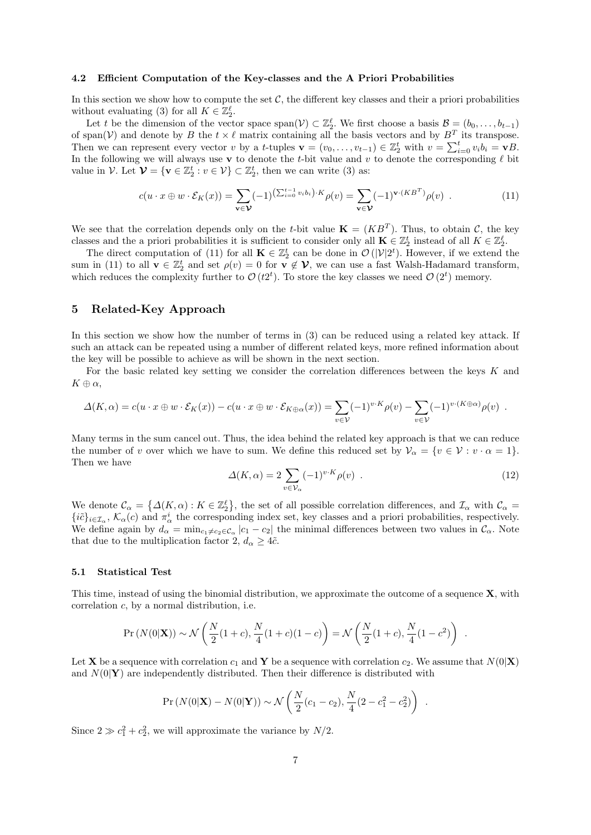### 4.2 Efficient Computation of the Key-classes and the A Priori Probabilities

In this section we show how to compute the set  $C$ , the different key classes and their a priori probabilities without evaluating (3) for all  $K \in \mathbb{Z}_2^{\ell}$ .

Let t be the dimension of the vector space span( $V$ )  $\subset \mathbb{Z}_2^{\ell}$ . We first choose a basis  $\mathcal{B} = (b_0, \ldots, b_{t-1})$ of span(V) and denote by B the  $t \times \ell$  matrix containing all the basis vectors and by  $B<sup>T</sup>$  its transpose. Then we can represent every vector v by a t-tuples  $\mathbf{v} = (v_0, \ldots, v_{t-1}) \in \mathbb{Z}_2^t$  with  $v = \sum_{i=0}^t v_i b_i = \mathbf{v}B$ . In the following we will always use v to denote the t-bit value and v to denote the corresponding  $\ell$  bit value in  $\mathcal{V}$ . Let  $\mathcal{V} = {\mathbf{v} \in \mathbb{Z}_2^t : v \in \mathcal{V}} \subset \mathbb{Z}_2^t$ , then we can write (3) as:

$$
c(u \cdot x \oplus w \cdot \mathcal{E}_K(x)) = \sum_{\mathbf{v} \in \mathcal{V}} (-1)^{\left(\sum_{i=0}^{t-1} v_i b_i\right) \cdot K} \rho(v) = \sum_{\mathbf{v} \in \mathcal{V}} (-1)^{\mathbf{v} \cdot (KB^T)} \rho(v) \tag{11}
$$

We see that the correlation depends only on the t-bit value  $\mathbf{K} = (KB^T)$ . Thus, to obtain C, the key classes and the a priori probabilities it is sufficient to consider only all  $\mathbf{K} \in \mathbb{Z}_2^t$  instead of all  $K \in \mathbb{Z}_2^{\ell}$ .

The direct computation of (11) for all  $\mathbf{K} \in \mathbb{Z}_2^t$  can be done in  $\mathcal{O}(|\mathcal{V}|2^t)$ . However, if we extend the sum in (11) to all  $\mathbf{v} \in \mathbb{Z}_2^t$  and set  $\rho(v) = 0$  for  $\mathbf{v} \notin \mathcal{V}$ , we can use a fast Walsh-Hadamard transform, which reduces the complexity further to  $\mathcal{O}(t2^t)$ . To store the key classes we need  $\mathcal{O}(2^t)$  memory.

# 5 Related-Key Approach

In this section we show how the number of terms in (3) can be reduced using a related key attack. If such an attack can be repeated using a number of different related keys, more refined information about the key will be possible to achieve as will be shown in the next section.

For the basic related key setting we consider the correlation differences between the keys K and  $K \oplus \alpha$ ,

$$
\Delta(K,\alpha) = c(u \cdot x \oplus w \cdot \mathcal{E}_K(x)) - c(u \cdot x \oplus w \cdot \mathcal{E}_{K \oplus \alpha}(x)) = \sum_{v \in \mathcal{V}} (-1)^{v \cdot K} \rho(v) - \sum_{v \in \mathcal{V}} (-1)^{v \cdot (K \oplus \alpha)} \rho(v) .
$$

Many terms in the sum cancel out. Thus, the idea behind the related key approach is that we can reduce the number of v over which we have to sum. We define this reduced set by  $\mathcal{V}_{\alpha} = \{v \in \mathcal{V} : v \cdot \alpha = 1\}$ . Then we have

$$
\Delta(K,\alpha) = 2 \sum_{v \in \mathcal{V}_{\alpha}} (-1)^{v \cdot K} \rho(v) . \qquad (12)
$$

We denote  $\mathcal{C}_{\alpha} = \{\Delta(K, \alpha) : K \in \mathbb{Z}_{2}^{\ell}\},\$  the set of all possible correlation differences, and  $\mathcal{I}_{\alpha}$  with  $\mathcal{C}_{\alpha} =$  $\{i\tilde{c}\}_{i\in\mathcal{I}_{\alpha}},\,\mathcal{K}_{\alpha}(c)$  and  $\pi_{\alpha}^{i}$  the corresponding index set, key classes and a priori probabilities, respectively. We define again by  $d_{\alpha} = \min_{c_1 \neq c_2 \in C_{\alpha}} |c_1 - c_2|$  the minimal differences between two values in  $C_{\alpha}$ . Note that due to the multiplication factor 2,  $d_{\alpha} \geq 4\tilde{c}$ .

#### 5.1 Statistical Test

This time, instead of using the binomial distribution, we approximate the outcome of a sequence X, with correlation c, by a normal distribution, i.e.

$$
\Pr(N(0|\mathbf{X})) \sim \mathcal{N}\left(\frac{N}{2}(1+c), \frac{N}{4}(1+c)(1-c)\right) = \mathcal{N}\left(\frac{N}{2}(1+c), \frac{N}{4}(1-c^2)\right) .
$$

Let **X** be a sequence with correlation  $c_1$  and **Y** be a sequence with correlation  $c_2$ . We assume that  $N(0|\mathbf{X})$ and  $N(0|\mathbf{Y})$  are independently distributed. Then their difference is distributed with

$$
\Pr(N(0|\mathbf{X}) - N(0|\mathbf{Y})) \sim \mathcal{N}\left(\frac{N}{2}(c_1 - c_2), \frac{N}{4}(2 - c_1^2 - c_2^2)\right) .
$$

Since  $2 \gg c_1^2 + c_2^2$ , we will approximate the variance by  $N/2$ .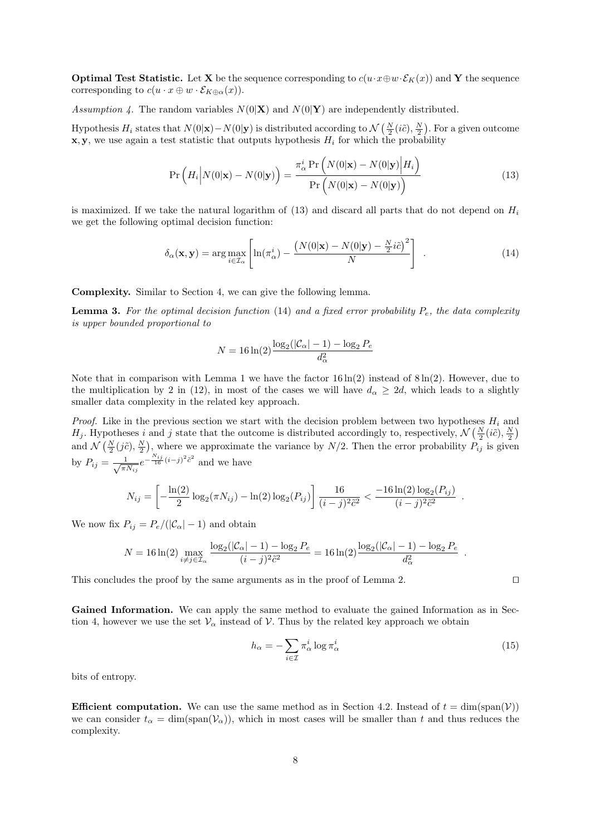**Optimal Test Statistic.** Let **X** be the sequence corresponding to  $c(u \cdot x \oplus w \cdot \mathcal{E}_K(x))$  and **Y** the sequence corresponding to  $c(u \cdot x \oplus w \cdot \mathcal{E}_{K \oplus \alpha}(x)).$ 

Assumption 4. The random variables  $N(0|\mathbf{X})$  and  $N(0|\mathbf{Y})$  are independently distributed.

Hypothesis  $H_i$  states that  $N(0|\mathbf{x}) - N(0|\mathbf{y})$  is distributed according to  $\mathcal{N}\left(\frac{N}{2}(i\tilde{c}), \frac{N}{2}\right)$ . For a given outcome  $x, y$ , we use again a test statistic that outputs hypothesis  $H_i$  for which the probability

$$
\Pr\left(H_i\middle|N(0|\mathbf{x}) - N(0|\mathbf{y})\right) = \frac{\pi_\alpha^i \Pr\left(N(0|\mathbf{x}) - N(0|\mathbf{y})\middle|H_i\right)}{\Pr\left(N(0|\mathbf{x}) - N(0|\mathbf{y})\right)}
$$
(13)

is maximized. If we take the natural logarithm of  $(13)$  and discard all parts that do not depend on  $H_i$ we get the following optimal decision function:

$$
\delta_{\alpha}(\mathbf{x}, \mathbf{y}) = \arg \max_{i \in \mathcal{I}_{\alpha}} \left[ \ln(\pi_{\alpha}^{i}) - \frac{\left(N(0|\mathbf{x}) - N(0|\mathbf{y}) - \frac{N}{2}i\tilde{c}\right)^{2}}{N} \right] . \tag{14}
$$

Complexity. Similar to Section 4, we can give the following lemma.

**Lemma 3.** For the optimal decision function (14) and a fixed error probability  $P_e$ , the data complexity is upper bounded proportional to

$$
N=16\ln(2)\frac{\log_2(|\mathcal{C}_\alpha|-1)-\log_2{P_e}}{d_\alpha^2}
$$

Note that in comparison with Lemma 1 we have the factor  $16 \ln(2)$  instead of  $8 \ln(2)$ . However, due to the multiplication by 2 in (12), in most of the cases we will have  $d_{\alpha} \geq 2d$ , which leads to a slightly smaller data complexity in the related key approach.

*Proof.* Like in the previous section we start with the decision problem between two hypotheses  $H_i$  and  $H_j$ . Hypotheses i and j state that the outcome is distributed accordingly to, respectively,  $\mathcal{N}\left(\frac{N}{2}(i\tilde{c}),\frac{N}{2}\right)$  $\mathcal{N}\left(\frac{N}{2}(i\tilde{c}),\frac{N}{2}\right)$ , where we approximate the variance by  $N/2$ . Then the error probability  $P_{ij}$  is given by  $P_{ij} = \frac{1}{\sqrt{2}}$  $\frac{1}{\pi N_{ij}}e^{-\frac{N_{ij}}{16}(i-j)^2\tilde{c}^2}$  and we have

$$
N_{ij} = \left[ -\frac{\ln(2)}{2} \log_2(\pi N_{ij}) - \ln(2) \log_2(P_{ij}) \right] \frac{16}{(i-j)^2 \tilde{c}^2} < \frac{-16 \ln(2) \log_2(P_{ij})}{(i-j)^2 \tilde{c}^2} .
$$

We now fix  $P_{ij} = P_e/(|\mathcal{C}_{\alpha}| - 1)$  and obtain

$$
N = 16\ln(2)\max_{i\neq j\in\mathcal{I}_{\alpha}}\frac{\log_2(|\mathcal{C}_{\alpha}|-1) - \log_2{P_e}}{(i-j)^2\tilde{c}^2} = 16\ln(2)\frac{\log_2(|\mathcal{C}_{\alpha}|-1) - \log_2{P_e}}{d_{\alpha}^2}
$$

This concludes the proof by the same arguments as in the proof of Lemma 2.  $\Box$ 

Gained Information. We can apply the same method to evaluate the gained Information as in Section 4, however we use the set  $\mathcal{V}_{\alpha}$  instead of  $\mathcal{V}$ . Thus by the related key approach we obtain

$$
h_{\alpha} = -\sum_{i \in \mathcal{I}} \pi_{\alpha}^{i} \log \pi_{\alpha}^{i}
$$
 (15)

bits of entropy.

**Efficient computation.** We can use the same method as in Section 4.2. Instead of  $t = \dim(\text{span}(\mathcal{V}))$ we can consider  $t_{\alpha} = \dim(\text{span}(\mathcal{V}_{\alpha}))$ , which in most cases will be smaller than t and thus reduces the complexity.

.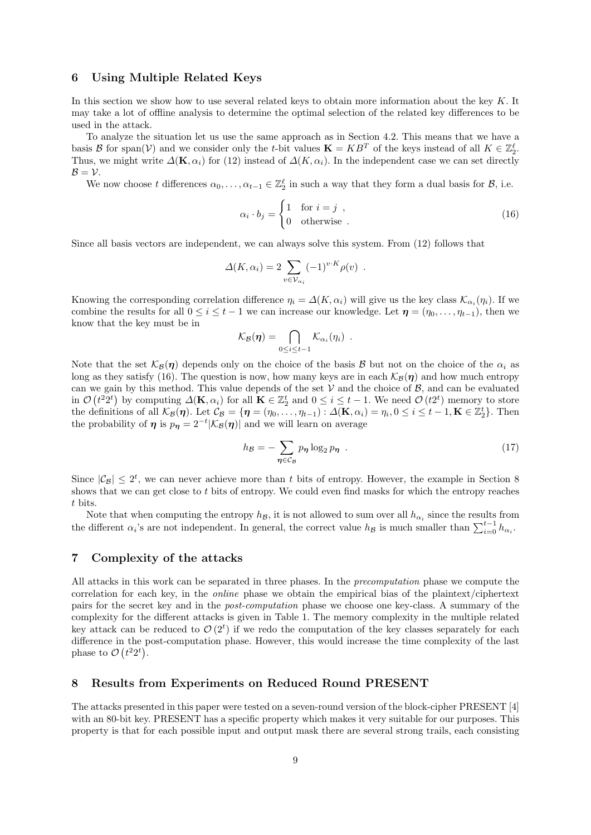# 6 Using Multiple Related Keys

In this section we show how to use several related keys to obtain more information about the key  $K$ . It may take a lot of offline analysis to determine the optimal selection of the related key differences to be used in the attack.

To analyze the situation let us use the same approach as in Section 4.2. This means that we have a basis B for span(V) and we consider only the t-bit values  $\mathbf{K} = KB^T$  of the keys instead of all  $K \in \mathbb{Z}_2^{\ell}$ . Thus, we might write  $\Delta(K, \alpha_i)$  for (12) instead of  $\Delta(K, \alpha_i)$ . In the independent case we can set directly  $B = V$ .

We now choose t differences  $\alpha_0, \ldots, \alpha_{t-1} \in \mathbb{Z}_2^{\ell}$  in such a way that they form a dual basis for  $\mathcal{B}$ , i.e.

$$
\alpha_i \cdot b_j = \begin{cases} 1 & \text{for } i = j \\ 0 & \text{otherwise} \end{cases} \tag{16}
$$

Since all basis vectors are independent, we can always solve this system. From (12) follows that

$$
\Delta(K, \alpha_i) = 2 \sum_{v \in \mathcal{V}_{\alpha_i}} (-1)^{v \cdot K} \rho(v) .
$$

Knowing the corresponding correlation difference  $\eta_i = \Delta(K, \alpha_i)$  will give us the key class  $\mathcal{K}_{\alpha_i}(\eta_i)$ . If we combine the results for all  $0 \le i \le t - 1$  we can increase our knowledge. Let  $\eta = (\eta_0, \ldots, \eta_{t-1})$ , then we know that the key must be in

$$
\mathcal{K}_{\mathcal{B}}(\boldsymbol{\eta}) = \bigcap_{0 \leq i \leq t-1} \mathcal{K}_{\alpha_i}(\eta_i) \enspace .
$$

Note that the set  $\mathcal{K}_{\mathcal{B}}(\eta)$  depends only on the choice of the basis B but not on the choice of the  $\alpha_i$  as long as they satisfy (16). The question is now, how many keys are in each  $\mathcal{K}_{\mathcal{B}}(\eta)$  and how much entropy can we gain by this method. This value depends of the set  $V$  and the choice of  $B$ , and can be evaluated in  $\mathcal{O}(t^2 2^t)$  by computing  $\Delta(\mathbf{K}, \alpha_i)$  for all  $\mathbf{K} \in \mathbb{Z}_2^t$  and  $0 \leq i \leq t-1$ . We need  $\mathcal{O}(t 2^t)$  memory to store the definitions of all  $\mathcal{K}_{\mathcal{B}}(\eta)$ . Let  $\mathcal{C}_{\mathcal{B}} = {\eta = (\eta_0, \dots, \eta_{t-1}) : \Delta(\mathbf{K}, \alpha_i) = \eta_i, 0 \leq i \leq t-1, \mathbf{K} \in \mathbb{Z}_2^t}.$  Then the probability of  $\eta$  is  $p_{\eta} = 2^{-t} |\mathcal{K}_{\mathcal{B}}(\eta)|$  and we will learn on average

$$
h_{\mathcal{B}} = -\sum_{\eta \in \mathcal{C}_{\mathcal{B}}} p_{\eta} \log_2 p_{\eta} \tag{17}
$$

Since  $|\mathcal{C}_{\mathcal{B}}| \leq 2^t$ , we can never achieve more than t bits of entropy. However, the example in Section 8 shows that we can get close to t bits of entropy. We could even find masks for which the entropy reaches t bits.

Note that when computing the entropy  $h_{\mathcal{B}}$ , it is not allowed to sum over all  $h_{\alpha_i}$  since the results from the different  $\alpha_i$ 's are not independent. In general, the correct value  $h_{\mathcal{B}}$  is much smaller than  $\sum_{i=0}^{t-1} h_{\alpha_i}$ .

# 7 Complexity of the attacks

All attacks in this work can be separated in three phases. In the precomputation phase we compute the correlation for each key, in the online phase we obtain the empirical bias of the plaintext/ciphertext pairs for the secret key and in the post-computation phase we choose one key-class. A summary of the complexity for the different attacks is given in Table 1. The memory complexity in the multiple related key attack can be reduced to  $\mathcal{O}(2^t)$  if we redo the computation of the key classes separately for each difference in the post-computation phase. However, this would increase the time complexity of the last phase to  $\mathcal{O}(t^22^t)$ .

### 8 Results from Experiments on Reduced Round PRESENT

The attacks presented in this paper were tested on a seven-round version of the block-cipher PRESENT [4] with an 80-bit key. PRESENT has a specific property which makes it very suitable for our purposes. This property is that for each possible input and output mask there are several strong trails, each consisting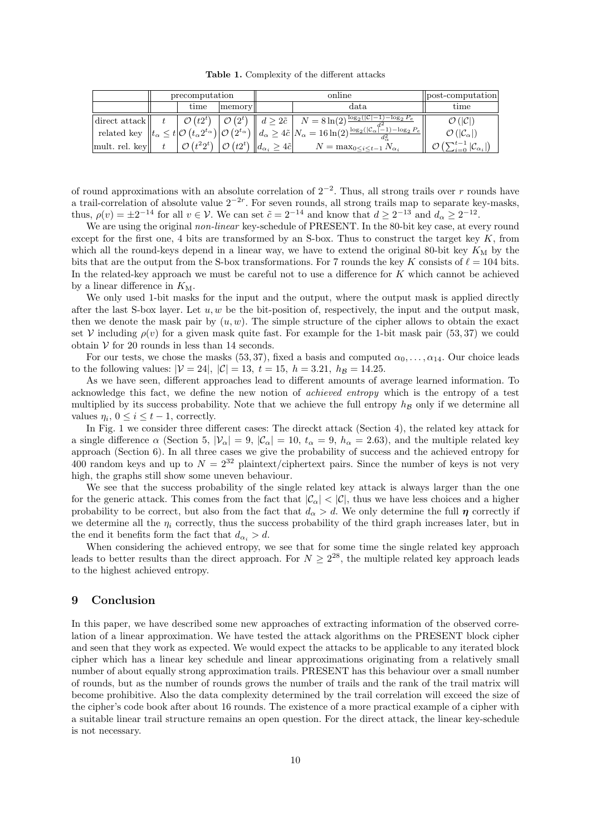Table 1. Complexity of the different attacks

|                             | precomputation |                                                                                                                                            |        | online |                                                                                                                                                                                                                                                                                                                                                                                                                                                                                                 | post-computation                                                    |
|-----------------------------|----------------|--------------------------------------------------------------------------------------------------------------------------------------------|--------|--------|-------------------------------------------------------------------------------------------------------------------------------------------------------------------------------------------------------------------------------------------------------------------------------------------------------------------------------------------------------------------------------------------------------------------------------------------------------------------------------------------------|---------------------------------------------------------------------|
|                             |                | time                                                                                                                                       | memory |        | data.                                                                                                                                                                                                                                                                                                                                                                                                                                                                                           | time                                                                |
| direct attack $\parallel$ t |                |                                                                                                                                            |        |        | $\left  \begin{array}{c c} \mathcal{O} & (t2^t) & \mathcal{O} & (2^t) & d \geq 2\tilde{c} & N = 8\ln(2)^{\frac{\log_2( \mathcal{C} -1) - \log_2 P_e}{J_2^2}} \end{array} \right $<br>$\label{eq:relatedkey} \text{ 'related key }\left\ t_\alpha\leq t\middle \mathcal{O}\left(t_\alpha2^{t_\alpha}\right)\middle \mathcal{O}\left(2^{t_\alpha'}\right)\right\ d_\alpha\geq 4\tilde{c}\left N_\alpha=16\ln(2)\tfrac{\alpha^{\prime 2}}{\log_2( \mathcal{C}_\alpha ^{1-1})-\log_2{P_e}}\right\ $ | $\mathcal{O}( \mathcal{C} )$<br>$\mathcal{O}( \mathcal{C}_\alpha )$ |
| mult. rel. key              |                | $\left \right. \mathcal{O}\left(t^22^t\right) \left.\right \mathcal{O}\left(t2^t\right) \left \right  d_{\alpha_i} \geq 4\tilde{c}\right $ |        |        | $N = \max_{0 \leq i \leq t-1} N_{\alpha_i}$                                                                                                                                                                                                                                                                                                                                                                                                                                                     | $\sum_{i=0}^{t-1}  \mathcal{C}_{\alpha_i} $                         |

of round approximations with an absolute correlation of  $2^{-2}$ . Thus, all strong trails over r rounds have a trail-correlation of absolute value  $2^{-2r}$ . For seven rounds, all strong trails map to separate key-masks, thus,  $\rho(v) = \pm 2^{-14}$  for all  $v \in V$ . We can set  $\tilde{c} = 2^{-14}$  and know that  $d \geq 2^{-13}$  and  $d_{\alpha} \geq 2^{-12}$ .

We are using the original non-linear key-schedule of PRESENT. In the 80-bit key case, at every round except for the first one, 4 bits are transformed by an S-box. Thus to construct the target key  $K$ , from which all the round-keys depend in a linear way, we have to extend the original 80-bit key  $K_M$  by the bits that are the output from the S-box transformations. For 7 rounds the key K consists of  $\ell = 104$  bits. In the related-key approach we must be careful not to use a difference for K which cannot be achieved by a linear difference in  $K_M$ .

We only used 1-bit masks for the input and the output, where the output mask is applied directly after the last S-box layer. Let  $u, w$  be the bit-position of, respectively, the input and the output mask, then we denote the mask pair by  $(u, w)$ . The simple structure of the cipher allows to obtain the exact set V including  $\rho(v)$  for a given mask quite fast. For example for the 1-bit mask pair (53,37) we could obtain  $V$  for 20 rounds in less than 14 seconds.

For our tests, we chose the masks (53, 37), fixed a basis and computed  $\alpha_0, \ldots, \alpha_{14}$ . Our choice leads to the following values:  $|V = 24|, |\mathcal{C}| = 13, t = 15, h = 3.21, h_{\mathcal{B}} = 14.25.$ 

As we have seen, different approaches lead to different amounts of average learned information. To acknowledge this fact, we define the new notion of achieved entropy which is the entropy of a test multiplied by its success probability. Note that we achieve the full entropy  $h_{\mathcal{B}}$  only if we determine all values  $\eta_i$ ,  $0 \leq i \leq t-1$ , correctly.

In Fig. 1 we consider three different cases: The direckt attack (Section 4), the related key attack for a single difference  $\alpha$  (Section 5,  $|\mathcal{V}_{\alpha}| = 9$ ,  $|\mathcal{C}_{\alpha}| = 10$ ,  $t_{\alpha} = 9$ ,  $h_{\alpha} = 2.63$ ), and the multiple related key approach (Section 6). In all three cases we give the probability of success and the achieved entropy for 400 random keys and up to  $N = 2^{32}$  plaintext/ciphertext pairs. Since the number of keys is not very high, the graphs still show some uneven behaviour.

We see that the success probability of the single related key attack is always larger than the one for the generic attack. This comes from the fact that  $|\mathcal{C}_{\alpha}| < |\mathcal{C}|$ , thus we have less choices and a higher probability to be correct, but also from the fact that  $d_{\alpha} > d$ . We only determine the full  $\eta$  correctly if we determine all the  $\eta_i$  correctly, thus the success probability of the third graph increases later, but in the end it benefits form the fact that  $d_{\alpha_i} > d$ .

When considering the achieved entropy, we see that for some time the single related key approach leads to better results than the direct approach. For  $N \geq 2^{28}$ , the multiple related key approach leads to the highest achieved entropy.

### 9 Conclusion

In this paper, we have described some new approaches of extracting information of the observed correlation of a linear approximation. We have tested the attack algorithms on the PRESENT block cipher and seen that they work as expected. We would expect the attacks to be applicable to any iterated block cipher which has a linear key schedule and linear approximations originating from a relatively small number of about equally strong approximation trails. PRESENT has this behaviour over a small number of rounds, but as the number of rounds grows the number of trails and the rank of the trail matrix will become prohibitive. Also the data complexity determined by the trail correlation will exceed the size of the cipher's code book after about 16 rounds. The existence of a more practical example of a cipher with a suitable linear trail structure remains an open question. For the direct attack, the linear key-schedule is not necessary.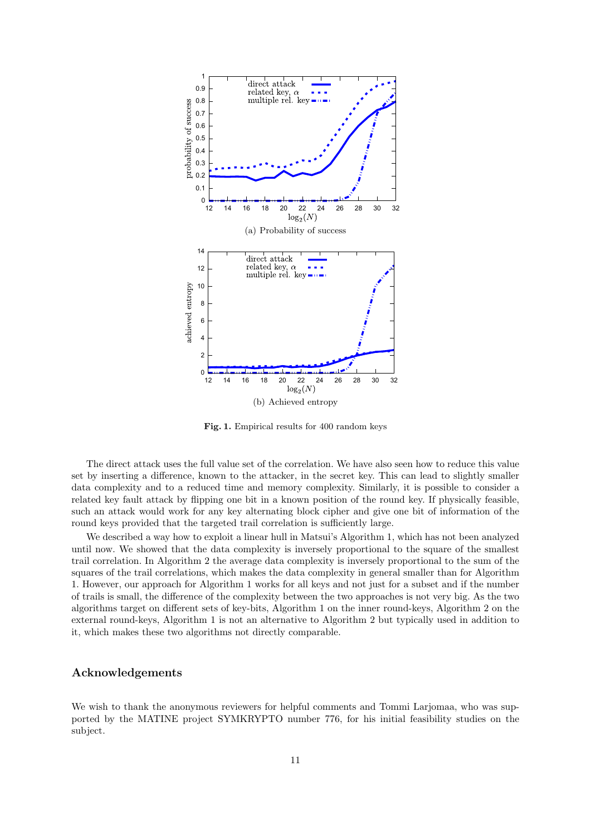

Fig. 1. Empirical results for 400 random keys

The direct attack uses the full value set of the correlation. We have also seen how to reduce this value set by inserting a difference, known to the attacker, in the secret key. This can lead to slightly smaller data complexity and to a reduced time and memory complexity. Similarly, it is possible to consider a related key fault attack by flipping one bit in a known position of the round key. If physically feasible, such an attack would work for any key alternating block cipher and give one bit of information of the round keys provided that the targeted trail correlation is sufficiently large.

We described a way how to exploit a linear hull in Matsui's Algorithm 1, which has not been analyzed until now. We showed that the data complexity is inversely proportional to the square of the smallest trail correlation. In Algorithm 2 the average data complexity is inversely proportional to the sum of the squares of the trail correlations, which makes the data complexity in general smaller than for Algorithm 1. However, our approach for Algorithm 1 works for all keys and not just for a subset and if the number of trails is small, the difference of the complexity between the two approaches is not very big. As the two algorithms target on different sets of key-bits, Algorithm 1 on the inner round-keys, Algorithm 2 on the external round-keys, Algorithm 1 is not an alternative to Algorithm 2 but typically used in addition to it, which makes these two algorithms not directly comparable.

# Acknowledgements

We wish to thank the anonymous reviewers for helpful comments and Tommi Larjomaa, who was supported by the MATINE project SYMKRYPTO number 776, for his initial feasibility studies on the subject.